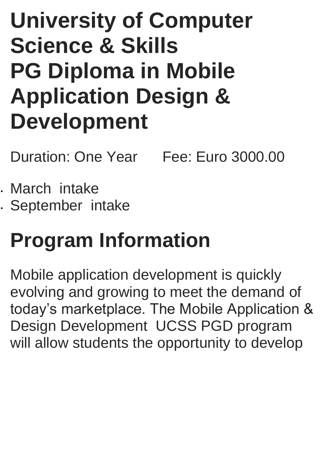# **University of Computer Science & Skills PG Diploma in Mobile Application Design & Development**

Duration: One Year Fee: Euro 3000.00

 March intake September intake

# **Program Information**

Mobile application development is quickly evolving and growing to meet the demand of today's marketplace. The Mobile Application & Design Development UCSS PGD program will allow students the opportunity to develop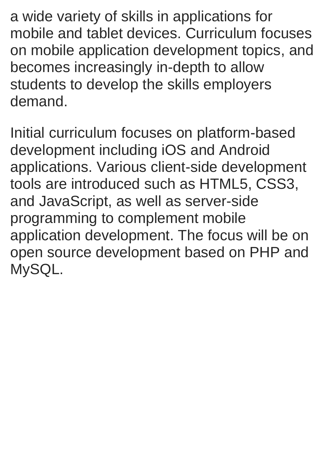a wide variety of skills in applications for mobile and tablet devices. Curriculum focuses on mobile application development topics, and becomes increasingly in-depth to allow students to develop the skills employers demand.

Initial curriculum focuses on platform-based development including iOS and Android applications. Various client-side development tools are introduced such as HTML5, CSS3, and JavaScript, as well as server-side programming to complement mobile application development. The focus will be on open source development based on PHP and MySQL.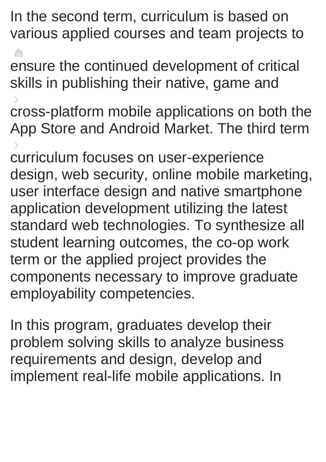In the second term, curriculum is based on various applied courses and team projects to

**A** ensure the continued development of critical skills in publishing their native, game and

cross-platform mobile applications on both the App Store and Android Market. The third term

curriculum focuses on user-experience design, web security, online mobile marketing, user interface design and native smartphone application development utilizing the latest standard web technologies. To synthesize all student learning outcomes, the co-op work term or the applied project provides the components necessary to improve graduate employability competencies.

In this program, graduates develop their problem solving skills to analyze business requirements and design, develop and implement real-life mobile applications. In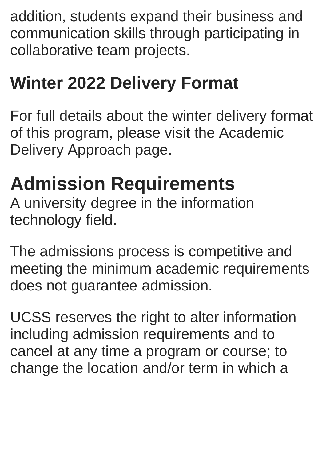addition, students expand their business and communication skills through participating in collaborative team projects.

# **Winter 2022 Delivery Format**

For full details about the winter delivery format of this program, please visit the Academic Delivery Approach page.

# **Admission Requirements**

A university degree in the information technology field.

The admissions process is competitive and meeting the minimum academic requirements does not guarantee admission.

UCSS reserves the right to alter information including admission requirements and to cancel at any time a program or course; to change the location and/or term in which a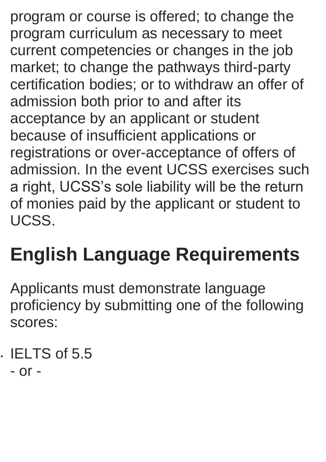program or course is offered; to change the program curriculum as necessary to meet current competencies or changes in the job market; to change the pathways third-party certification bodies; or to withdraw an offer of admission both prior to and after its acceptance by an applicant or student because of insufficient applications or registrations or over-acceptance of offers of admission. In the event UCSS exercises such a right, UCSS's sole liability will be the return of monies paid by the applicant or student to UCSS.

# **English Language Requirements**

Applicants must demonstrate language proficiency by submitting one of the following scores:

 $\cdot$  IELTS of 5.5 - or -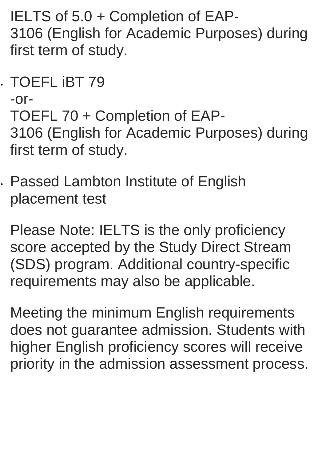IELTS of 5.0 + Completion of EAP-3106 (English for Academic Purposes) during first term of study.

TOEFL iBT 79

```
-or-
TOEFL 70 + Completion of EAP-
3106 (English for Academic Purposes) during 
first term of study.
```
 Passed Lambton Institute of English placement test

Please Note: IELTS is the only proficiency score accepted by the Study Direct Stream (SDS) program. Additional country-specific requirements may also be applicable.

Meeting the minimum English requirements does not guarantee admission. Students with higher English proficiency scores will receive priority in the admission assessment process.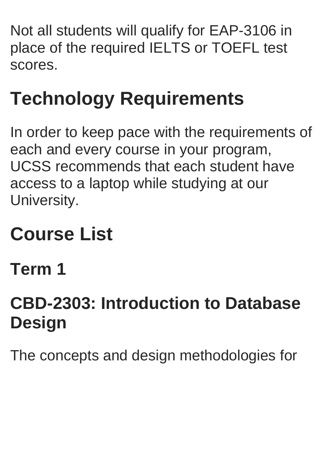Not all students will qualify for EAP-3106 in place of the required IELTS or TOEFL test scores.

# **Technology Requirements**

In order to keep pace with the requirements of each and every course in your program, UCSS recommends that each student have access to a laptop while studying at our University.

# **Course List**

**Term 1**

# **CBD-2303: Introduction to Database Design**

The concepts and design methodologies for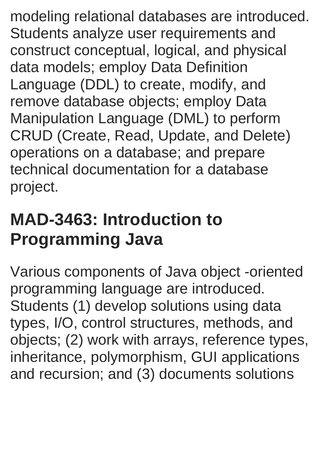modeling relational databases are introduced. Students analyze user requirements and construct conceptual, logical, and physical data models; employ Data Definition Language (DDL) to create, modify, and remove database objects; employ Data Manipulation Language (DML) to perform CRUD (Create, Read, Update, and Delete) operations on a database; and prepare technical documentation for a database project.

### **MAD-3463: Introduction to Programming Java**

Various components of Java object -oriented programming language are introduced. Students (1) develop solutions using data types, I/O, control structures, methods, and objects; (2) work with arrays, reference types, inheritance, polymorphism, GUI applications and recursion; and (3) documents solutions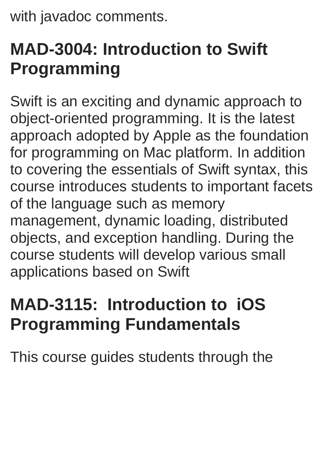with javadoc comments.

# **MAD-3004: Introduction to Swift Programming**

Swift is an exciting and dynamic approach to object-oriented programming. It is the latest approach adopted by Apple as the foundation for programming on Mac platform. In addition to covering the essentials of Swift syntax, this course introduces students to important facets of the language such as memory management, dynamic loading, distributed objects, and exception handling. During the course students will develop various small applications based on Swift

# **MAD-3115: Introduction to iOS Programming Fundamentals**

This course guides students through the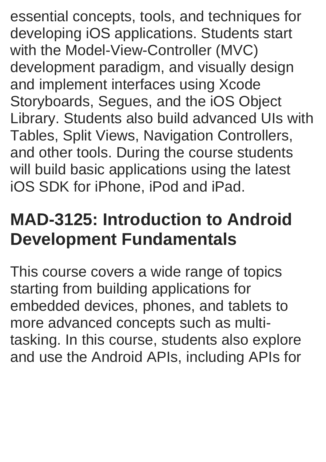essential concepts, tools, and techniques for developing iOS applications. Students start with the Model-View-Controller (MVC) development paradigm, and visually design and implement interfaces using Xcode Storyboards, Segues, and the iOS Object Library. Students also build advanced UIs with Tables, Split Views, Navigation Controllers, and other tools. During the course students will build basic applications using the latest iOS SDK for iPhone, iPod and iPad.

### **MAD-3125: Introduction to Android Development Fundamentals**

This course covers a wide range of topics starting from building applications for embedded devices, phones, and tablets to more advanced concepts such as multitasking. In this course, students also explore and use the Android APIs, including APIs for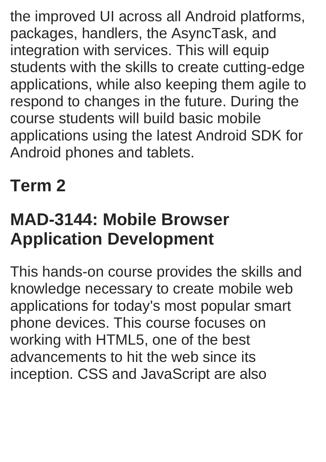the improved UI across all Android platforms, packages, handlers, the AsyncTask, and integration with services. This will equip students with the skills to create cutting-edge applications, while also keeping them agile to respond to changes in the future. During the course students will build basic mobile applications using the latest Android SDK for Android phones and tablets.

# **Term 2**

### **MAD-3144: Mobile Browser Application Development**

This hands-on course provides the skills and knowledge necessary to create mobile web applications for today's most popular smart phone devices. This course focuses on working with HTML5, one of the best advancements to hit the web since its inception. CSS and JavaScript are also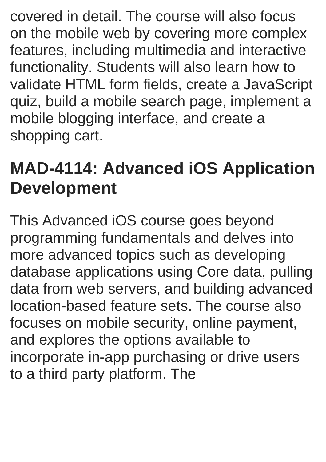covered in detail. The course will also focus on the mobile web by covering more complex features, including multimedia and interactive functionality. Students will also learn how to validate HTML form fields, create a JavaScript quiz, build a mobile search page, implement a mobile blogging interface, and create a shopping cart.

### **MAD-4114: Advanced iOS Application Development**

This Advanced iOS course goes beyond programming fundamentals and delves into more advanced topics such as developing database applications using Core data, pulling data from web servers, and building advanced location-based feature sets. The course also focuses on mobile security, online payment, and explores the options available to incorporate in-app purchasing or drive users to a third party platform. The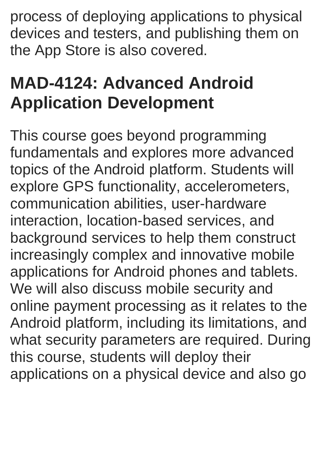process of deploying applications to physical devices and testers, and publishing them on the App Store is also covered.

# **MAD-4124: Advanced Android Application Development**

This course goes beyond programming fundamentals and explores more advanced topics of the Android platform. Students will explore GPS functionality, accelerometers, communication abilities, user-hardware interaction, location-based services, and background services to help them construct increasingly complex and innovative mobile applications for Android phones and tablets. We will also discuss mobile security and online payment processing as it relates to the Android platform, including its limitations, and what security parameters are required. During this course, students will deploy their applications on a physical device and also go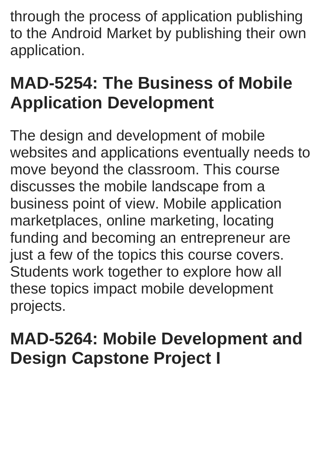through the process of application publishing to the Android Market by publishing their own application.

# **MAD-5254: The Business of Mobile Application Development**

The design and development of mobile websites and applications eventually needs to move beyond the classroom. This course discusses the mobile landscape from a business point of view. Mobile application marketplaces, online marketing, locating funding and becoming an entrepreneur are just a few of the topics this course covers. Students work together to explore how all these topics impact mobile development projects.

### **MAD-5264: Mobile Development and Design Capstone Project I**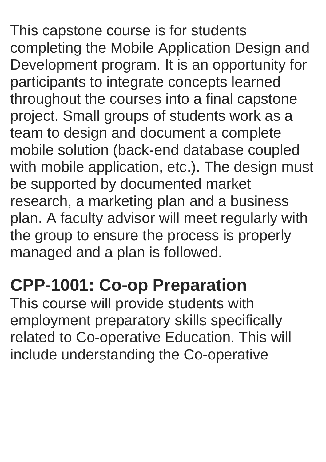This capstone course is for students completing the Mobile Application Design and Development program. It is an opportunity for participants to integrate concepts learned throughout the courses into a final capstone project. Small groups of students work as a team to design and document a complete mobile solution (back-end database coupled with mobile application, etc.). The design must be supported by documented market research, a marketing plan and a business plan. A faculty advisor will meet regularly with the group to ensure the process is properly managed and a plan is followed.

## **CPP-1001: Co-op Preparation**

This course will provide students with employment preparatory skills specifically related to Co-operative Education. This will include understanding the Co-operative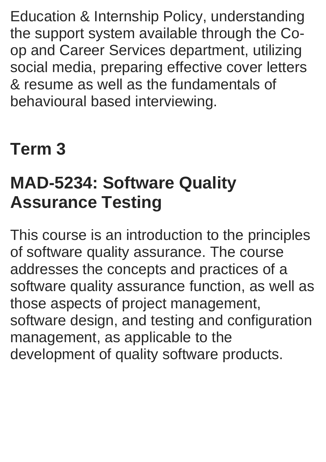Education & Internship Policy, understanding the support system available through the Coop and Career Services department, utilizing social media, preparing effective cover letters & resume as well as the fundamentals of behavioural based interviewing.

### **Term 3**

## **MAD-5234: Software Quality Assurance Testing**

This course is an introduction to the principles of software quality assurance. The course addresses the concepts and practices of a software quality assurance function, as well as those aspects of project management, software design, and testing and configuration management, as applicable to the development of quality software products.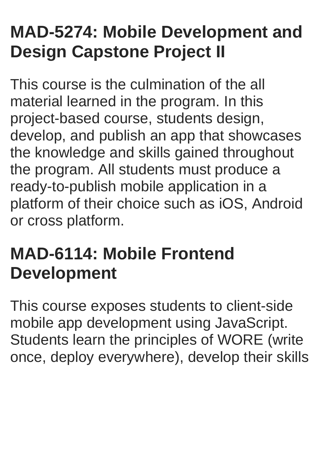## **MAD-5274: Mobile Development and Design Capstone Project II**

This course is the culmination of the all material learned in the program. In this project-based course, students design, develop, and publish an app that showcases the knowledge and skills gained throughout the program. All students must produce a ready-to-publish mobile application in a platform of their choice such as iOS, Android or cross platform.

## **MAD-6114: Mobile Frontend Development**

This course exposes students to client-side mobile app development using JavaScript. Students learn the principles of WORE (write once, deploy everywhere), develop their skills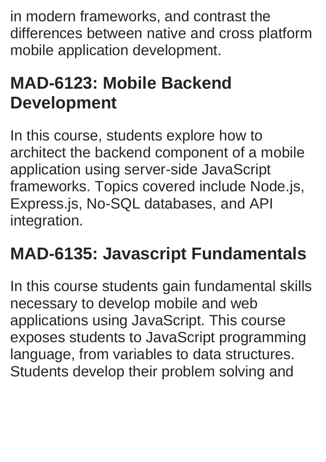in modern frameworks, and contrast the differences between native and cross platform mobile application development.

# **MAD-6123: Mobile Backend Development**

In this course, students explore how to architect the backend component of a mobile application using server-side JavaScript frameworks. Topics covered include Node.js, Express.js, No-SQL databases, and API integration.

# **MAD-6135: Javascript Fundamentals**

In this course students gain fundamental skills necessary to develop mobile and web applications using JavaScript. This course exposes students to JavaScript programming language, from variables to data structures. Students develop their problem solving and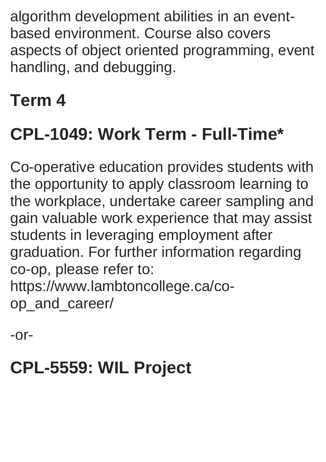algorithm development abilities in an eventbased environment. Course also covers aspects of object oriented programming, event handling, and debugging.

### **Term 4**

# **CPL-1049: Work Term - Full-Time\***

Co-operative education provides students with the opportunity to apply classroom learning to the workplace, undertake career sampling and gain valuable work experience that may assist students in leveraging employment after graduation. For further information regarding co-op, please refer to: https://www.lambtoncollege.ca/coop\_and\_career/

-or-

# **CPL-5559: WIL Project**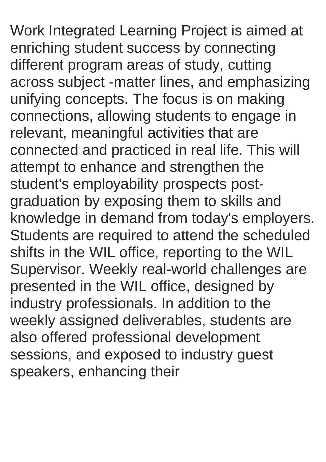Work Integrated Learning Project is aimed at enriching student success by connecting different program areas of study, cutting across subject -matter lines, and emphasizing unifying concepts. The focus is on making connections, allowing students to engage in relevant, meaningful activities that are connected and practiced in real life. This will attempt to enhance and strengthen the student's employability prospects postgraduation by exposing them to skills and knowledge in demand from today's employers. Students are required to attend the scheduled shifts in the WIL office, reporting to the WIL Supervisor. Weekly real-world challenges are presented in the WIL office, designed by industry professionals. In addition to the weekly assigned deliverables, students are also offered professional development sessions, and exposed to industry guest speakers, enhancing their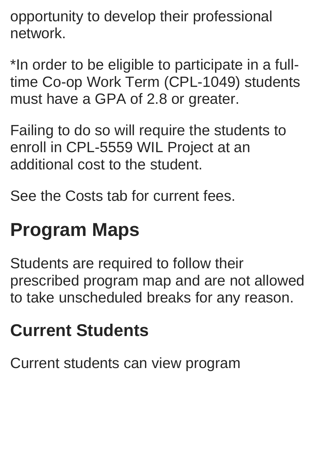opportunity to develop their professional network.

\*In order to be eligible to participate in a fulltime Co-op Work Term (CPL-1049) students must have a GPA of 2.8 or greater.

Failing to do so will require the students to enroll in CPL-5559 WIL Project at an additional cost to the student.

See the Costs tab for current fees.

# **Program Maps**

Students are required to follow their prescribed program map and are not allowed to take unscheduled breaks for any reason.

# **Current Students**

Current students can view program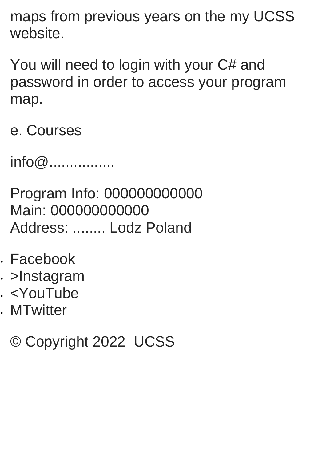maps from previous years on the my UCSS website.

You will need to login with your C# and password in order to access your program map.

e. Courses

info@................

Program Info: 000000000000 Main: 000000000000 Address: ........ Lodz Poland

- Facebook
- . >Instagram
- <YouTube
- MTwitter

© Copyright 2022 UCSS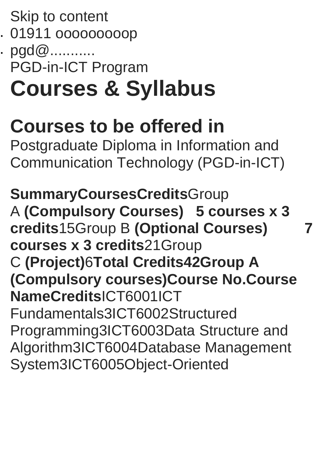Skip to content

01911 ooooooooop

. pgd@........... PGD-in-ICT Program

# **Courses & Syllabus**

# **Courses to be offered in**

Postgraduate Diploma in Information and Communication Technology (PGD-in-ICT)

**SummaryCoursesCredits**Group A **(Compulsory Courses) 5 courses x 3 credits**15Group B **(Optional Courses) 7 courses x 3 credits**21Group C **(Project)**6**Total Credits42Group A (Compulsory courses)Course No.Course NameCredits**ICT6001ICT Fundamentals3ICT6002Structured Programming3ICT6003Data Structure and Algorithm3ICT6004Database Management System3ICT6005Object-Oriented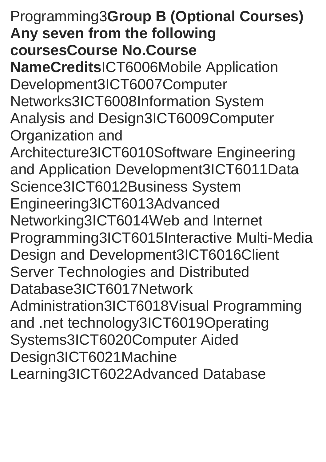### Programming3**Group B (Optional Courses) Any seven from the following coursesCourse No.Course**

**NameCredits**ICT6006Mobile Application Development3ICT6007Computer Networks3ICT6008Information System Analysis and Design3ICT6009Computer Organization and

Architecture3ICT6010Software Engineering and Application Development3ICT6011Data Science3ICT6012Business System Engineering3ICT6013Advanced Networking3ICT6014Web and Internet Programming3ICT6015Interactive Multi-Media Design and Development3ICT6016Client Server Technologies and Distributed Database3ICT6017Network Administration3ICT6018Visual Programming and .net technology3ICT6019Operating Systems3ICT6020Computer Aided Design3ICT6021Machine Learning3ICT6022Advanced Database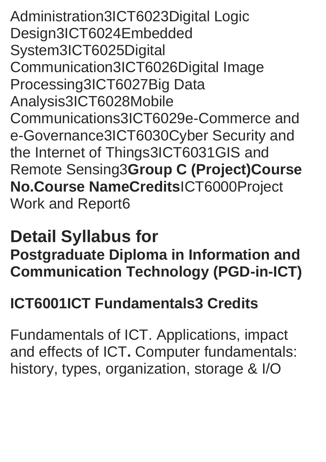Administration3ICT6023Digital Logic Design3ICT6024Embedded System3ICT6025Digital Communication3ICT6026Digital Image Processing3ICT6027Big Data Analysis3ICT6028Mobile Communications3ICT6029e-Commerce and e-Governance3ICT6030Cyber Security and the Internet of Things3ICT6031GIS and Remote Sensing3**Group C (Project)Course No.Course NameCredits**ICT6000Project Work and Report6

### **Detail Syllabus for**

**Postgraduate Diploma in Information and Communication Technology (PGD-in-ICT)**

### **ICT6001ICT Fundamentals3 Credits**

Fundamentals of ICT. Applications, impact and effects of ICT**.** Computer fundamentals: history, types, organization, storage & I/O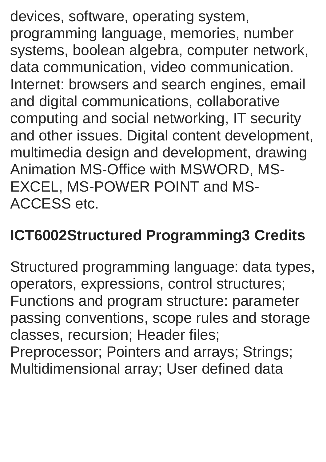devices, software, operating system, programming language, memories, number systems, boolean algebra, computer network, data communication, video communication. Internet: browsers and search engines, email and digital communications, collaborative computing and social networking, IT security and other issues. Digital content development, multimedia design and development, drawing Animation MS-Office with MSWORD, MS-EXCEL, MS-POWER POINT and MS-ACCESS etc.

#### **ICT6002Structured Programming3 Credits**

Structured programming language: data types, operators, expressions, control structures; Functions and program structure: parameter passing conventions, scope rules and storage classes, recursion; Header files; Preprocessor; Pointers and arrays; Strings; Multidimensional array; User defined data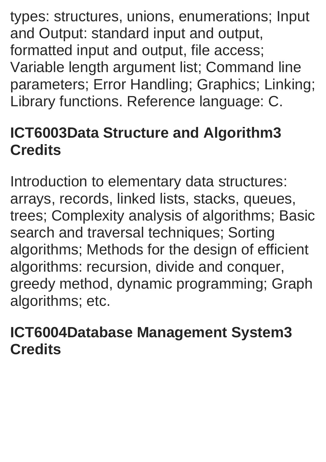types: structures, unions, enumerations; Input and Output: standard input and output, formatted input and output, file access; Variable length argument list; Command line parameters; Error Handling; Graphics; Linking; Library functions. Reference language: C.

### **ICT6003Data Structure and Algorithm3 Credits**

Introduction to elementary data structures: arrays, records, linked lists, stacks, queues, trees; Complexity analysis of algorithms; Basic search and traversal techniques; Sorting algorithms; Methods for the design of efficient algorithms: recursion, divide and conquer, greedy method, dynamic programming; Graph algorithms; etc.

#### **ICT6004Database Management System3 Credits**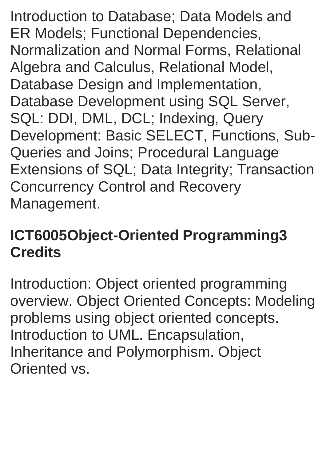Introduction to Database; Data Models and ER Models; Functional Dependencies, Normalization and Normal Forms, Relational Algebra and Calculus, Relational Model, Database Design and Implementation, Database Development using SQL Server, SQL: DDI, DML, DCL; Indexing, Query Development: Basic SELECT, Functions, Sub-Queries and Joins; Procedural Language Extensions of SQL; Data Integrity; Transaction Concurrency Control and Recovery Management.

#### **ICT6005Object-Oriented Programming3 Credits**

Introduction: Object oriented programming overview. Object Oriented Concepts: Modeling problems using object oriented concepts. Introduction to UML. Encapsulation, Inheritance and Polymorphism. Object Oriented vs.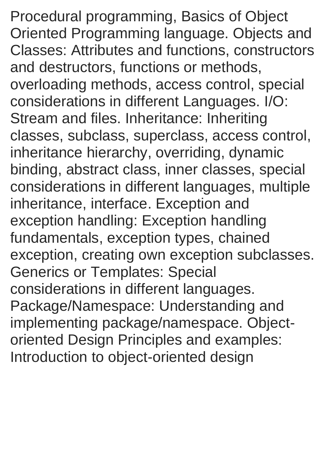Procedural programming, Basics of Object Oriented Programming language. Objects and Classes: Attributes and functions, constructors and destructors, functions or methods, overloading methods, access control, special considerations in different Languages. I/O: Stream and files. Inheritance: Inheriting classes, subclass, superclass, access control, inheritance hierarchy, overriding, dynamic binding, abstract class, inner classes, special considerations in different languages, multiple inheritance, interface. Exception and exception handling: Exception handling fundamentals, exception types, chained exception, creating own exception subclasses. Generics or Templates: Special considerations in different languages. Package/Namespace: Understanding and implementing package/namespace. Objectoriented Design Principles and examples: Introduction to object-oriented design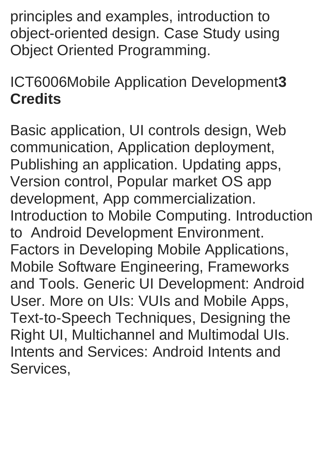principles and examples, introduction to object-oriented design. Case Study using Object Oriented Programming.

ICT6006Mobile Application Development**3 Credits**

Basic application, UI controls design, Web communication, Application deployment, Publishing an application. Updating apps, Version control, Popular market OS app development, App commercialization. Introduction to Mobile Computing. Introduction to Android Development Environment. Factors in Developing Mobile Applications, Mobile Software Engineering, Frameworks and Tools. Generic UI Development: Android User. More on UIs: VUIs and Mobile Apps, Text-to-Speech Techniques, Designing the Right UI, Multichannel and Multimodal UIs. Intents and Services: Android Intents and Services,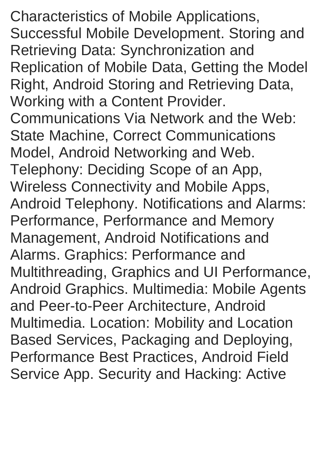Characteristics of Mobile Applications, Successful Mobile Development. Storing and Retrieving Data: Synchronization and Replication of Mobile Data, Getting the Model Right, Android Storing and Retrieving Data, Working with a Content Provider. Communications Via Network and the Web: State Machine, Correct Communications Model, Android Networking and Web. Telephony: Deciding Scope of an App, Wireless Connectivity and Mobile Apps, Android Telephony. Notifications and Alarms: Performance, Performance and Memory Management, Android Notifications and Alarms. Graphics: Performance and Multithreading, Graphics and UI Performance, Android Graphics. Multimedia: Mobile Agents and Peer-to-Peer Architecture, Android Multimedia. Location: Mobility and Location Based Services, Packaging and Deploying, Performance Best Practices, Android Field Service App. Security and Hacking: Active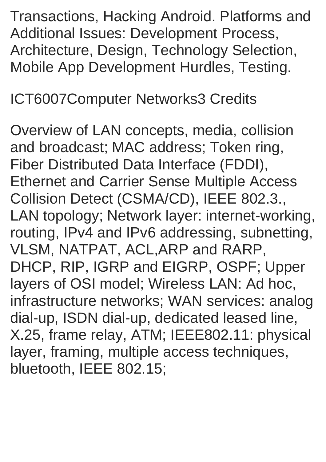Transactions, Hacking Android. Platforms and Additional Issues: Development Process, Architecture, Design, Technology Selection, Mobile App Development Hurdles, Testing.

#### ICT6007Computer Networks3 Credits

Overview of LAN concepts, media, collision and broadcast; MAC address; Token ring, Fiber Distributed Data Interface (FDDI), Ethernet and Carrier Sense Multiple Access Collision Detect (CSMA/CD), IEEE 802.3., LAN topology; Network layer: internet-working, routing, IPv4 and IPv6 addressing, subnetting, VLSM, NATPAT, ACL,ARP and RARP, DHCP, RIP, IGRP and EIGRP, OSPF; Upper layers of OSI model; Wireless LAN: Ad hoc, infrastructure networks; WAN services: analog dial-up, ISDN dial-up, dedicated leased line, X.25, frame relay, ATM; IEEE802.11: physical layer, framing, multiple access techniques, bluetooth, IEEE 802.15;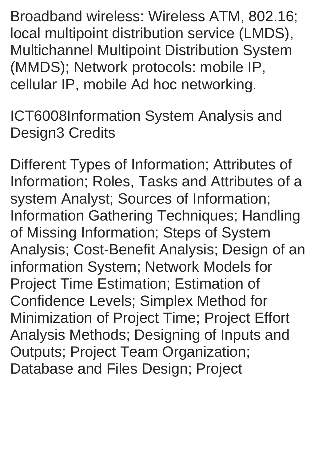Broadband wireless: Wireless ATM, 802.16; local multipoint distribution service (LMDS), Multichannel Multipoint Distribution System (MMDS); Network protocols: mobile IP, cellular IP, mobile Ad hoc networking.

ICT6008Information System Analysis and Design3 Credits

Different Types of Information; Attributes of Information; Roles, Tasks and Attributes of a system Analyst; Sources of Information; Information Gathering Techniques; Handling of Missing Information; Steps of System Analysis; Cost-Benefit Analysis; Design of an information System; Network Models for Project Time Estimation; Estimation of Confidence Levels; Simplex Method for Minimization of Project Time; Project Effort Analysis Methods; Designing of Inputs and Outputs; Project Team Organization; Database and Files Design; Project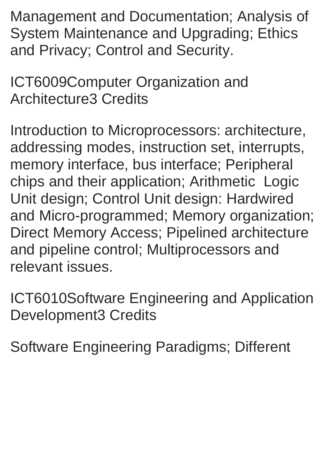Management and Documentation; Analysis of System Maintenance and Upgrading; Ethics and Privacy; Control and Security.

ICT6009Computer Organization and Architecture3 Credits

Introduction to Microprocessors: architecture, addressing modes, instruction set, interrupts, memory interface, bus interface; Peripheral chips and their application; Arithmetic Logic Unit design; Control Unit design: Hardwired and Micro-programmed; Memory organization; Direct Memory Access; Pipelined architecture and pipeline control; Multiprocessors and relevant issues.

ICT6010Software Engineering and Application Development3 Credits

Software Engineering Paradigms; Different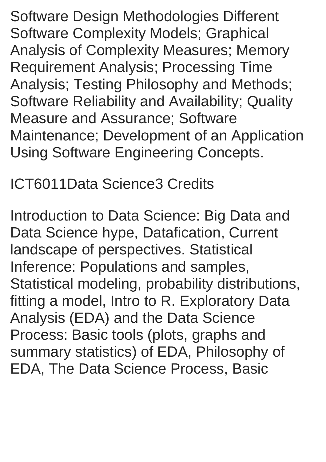Software Design Methodologies Different Software Complexity Models; Graphical Analysis of Complexity Measures; Memory Requirement Analysis; Processing Time Analysis; Testing Philosophy and Methods; Software Reliability and Availability; Quality Measure and Assurance; Software Maintenance; Development of an Application Using Software Engineering Concepts.

ICT6011Data Science3 Credits

Introduction to Data Science: Big Data and Data Science hype, Datafication, Current landscape of perspectives. Statistical Inference: Populations and samples, Statistical modeling, probability distributions, fitting a model, Intro to R. Exploratory Data Analysis (EDA) and the Data Science Process: Basic tools (plots, graphs and summary statistics) of EDA, Philosophy of EDA, The Data Science Process, Basic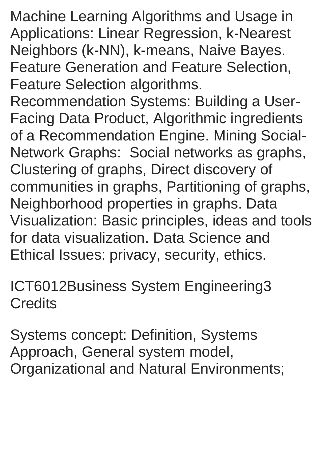Machine Learning Algorithms and Usage in Applications: Linear Regression, k-Nearest Neighbors (k-NN), k-means, Naive Bayes. Feature Generation and Feature Selection, Feature Selection algorithms.

Recommendation Systems: Building a User-Facing Data Product, Algorithmic ingredients of a Recommendation Engine. Mining Social-Network Graphs: Social networks as graphs, Clustering of graphs, Direct discovery of communities in graphs, Partitioning of graphs, Neighborhood properties in graphs. Data Visualization: Basic principles, ideas and tools for data visualization. Data Science and Ethical Issues: privacy, security, ethics.

ICT6012Business System Engineering3 **Credits** 

Systems concept: Definition, Systems Approach, General system model, Organizational and Natural Environments;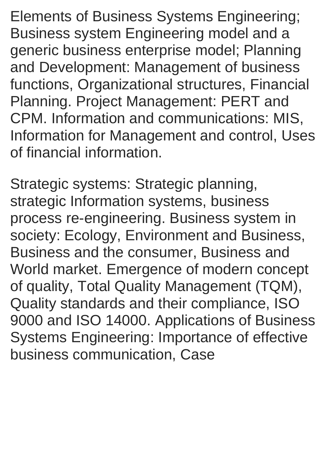Elements of Business Systems Engineering; Business system Engineering model and a generic business enterprise model; Planning and Development: Management of business functions, Organizational structures, Financial Planning. Project Management: PERT and CPM. Information and communications: MIS, Information for Management and control, Uses of financial information.

Strategic systems: Strategic planning, strategic Information systems, business process re-engineering. Business system in society: Ecology, Environment and Business, Business and the consumer, Business and World market. Emergence of modern concept of quality, Total Quality Management (TQM), Quality standards and their compliance, ISO 9000 and ISO 14000. Applications of Business Systems Engineering: Importance of effective business communication, Case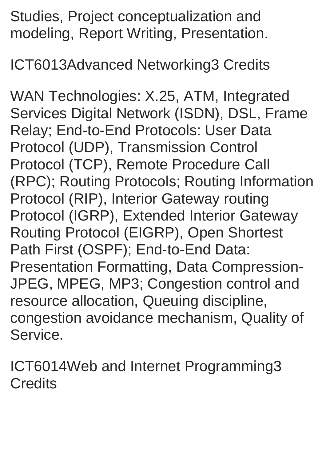Studies, Project conceptualization and modeling, Report Writing, Presentation.

ICT6013Advanced Networking3 Credits

WAN Technologies: X.25, ATM, Integrated Services Digital Network (ISDN), DSL, Frame Relay; End-to-End Protocols: User Data Protocol (UDP), Transmission Control Protocol (TCP), Remote Procedure Call (RPC); Routing Protocols; Routing Information Protocol (RIP), Interior Gateway routing Protocol (IGRP), Extended Interior Gateway Routing Protocol (EIGRP), Open Shortest Path First (OSPF); End-to-End Data: Presentation Formatting, Data Compression-JPEG, MPEG, MP3; Congestion control and resource allocation, Queuing discipline, congestion avoidance mechanism, Quality of Service.

ICT6014Web and Internet Programming3 **Credits**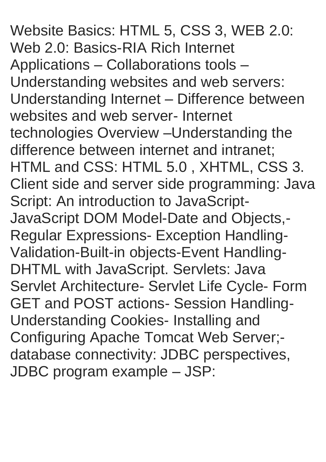Website Basics: HTML 5, CSS 3, WEB 2.0: Web 2.0: Basics-RIA Rich Internet Applications – Collaborations tools – Understanding websites and web servers: Understanding Internet – Difference between websites and web server- Internet technologies Overview –Understanding the difference between internet and intranet; HTML and CSS: HTML 5.0 , XHTML, CSS 3. Client side and server side programming: Java Script: An introduction to JavaScript-JavaScript DOM Model-Date and Objects,- Regular Expressions- Exception Handling-Validation-Built-in objects-Event Handling-DHTML with JavaScript. Servlets: Java Servlet Architecture- Servlet Life Cycle- Form GET and POST actions- Session Handling-Understanding Cookies- Installing and Configuring Apache Tomcat Web Server; database connectivity: JDBC perspectives, JDBC program example – JSP: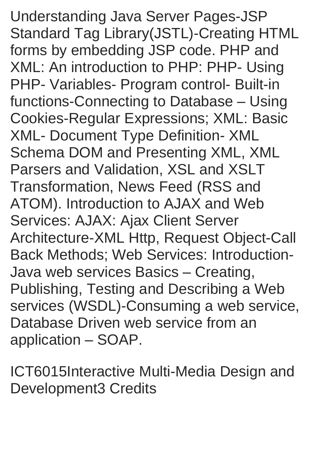Understanding Java Server Pages-JSP Standard Tag Library(JSTL)-Creating HTML forms by embedding JSP code. PHP and XML: An introduction to PHP: PHP- Using PHP- Variables- Program control- Built-in functions-Connecting to Database – Using Cookies-Regular Expressions; XML: Basic XML- Document Type Definition- XML Schema DOM and Presenting XML, XML Parsers and Validation, XSL and XSLT Transformation, News Feed (RSS and ATOM). Introduction to AJAX and Web Services: AJAX: Ajax Client Server Architecture-XML Http, Request Object-Call Back Methods; Web Services: Introduction-Java web services Basics – Creating, Publishing, Testing and Describing a Web services (WSDL)-Consuming a web service, Database Driven web service from an application – SOAP.

ICT6015Interactive Multi-Media Design and Development3 Credits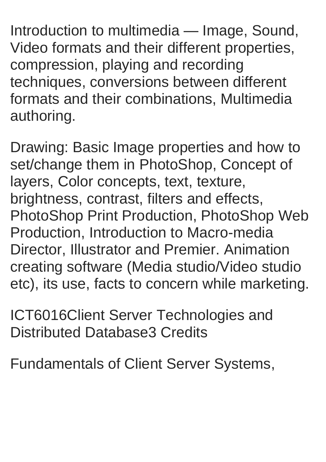Introduction to multimedia — Image, Sound, Video formats and their different properties, compression, playing and recording techniques, conversions between different formats and their combinations, Multimedia authoring.

Drawing: Basic Image properties and how to set/change them in PhotoShop, Concept of layers, Color concepts, text, texture, brightness, contrast, filters and effects, PhotoShop Print Production, PhotoShop Web Production, Introduction to Macro-media Director, Illustrator and Premier. Animation creating software (Media studio/Video studio etc), its use, facts to concern while marketing.

ICT6016Client Server Technologies and Distributed Database3 Credits

Fundamentals of Client Server Systems,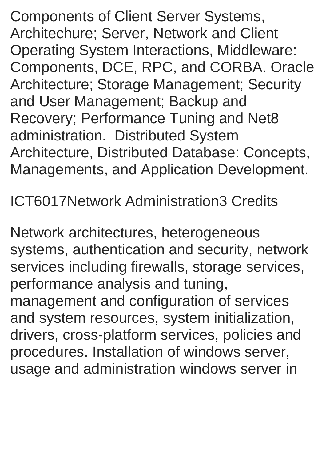Components of Client Server Systems, Architechure; Server, Network and Client Operating System Interactions, Middleware: Components, DCE, RPC, and CORBA. Oracle Architecture; Storage Management; Security and User Management; Backup and Recovery; Performance Tuning and Net8 administration. Distributed System Architecture, Distributed Database: Concepts, Managements, and Application Development.

ICT6017Network Administration3 Credits

Network architectures, heterogeneous systems, authentication and security, network services including firewalls, storage services, performance analysis and tuning, management and configuration of services and system resources, system initialization, drivers, cross-platform services, policies and procedures. Installation of windows server, usage and administration windows server in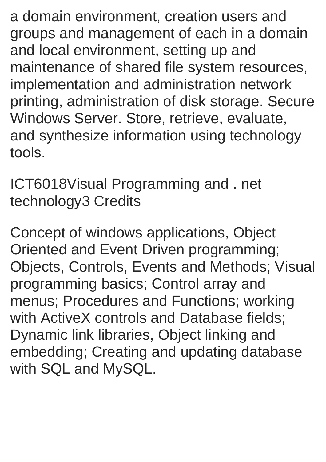a domain environment, creation users and groups and management of each in a domain and local environment, setting up and maintenance of shared file system resources, implementation and administration network printing, administration of disk storage. Secure Windows Server. Store, retrieve, evaluate, and synthesize information using technology tools.

ICT6018Visual Programming and . net technology3 Credits

Concept of windows applications, Object Oriented and Event Driven programming; Objects, Controls, Events and Methods; Visual programming basics; Control array and menus; Procedures and Functions; working with ActiveX controls and Database fields; Dynamic link libraries, Object linking and embedding; Creating and updating database with SQL and MySQL.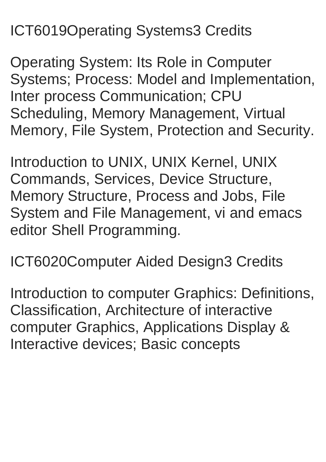### ICT6019Operating Systems3 Credits

Operating System: Its Role in Computer Systems; Process: Model and Implementation, Inter process Communication; CPU Scheduling, Memory Management, Virtual Memory, File System, Protection and Security.

Introduction to UNIX, UNIX Kernel, UNIX Commands, Services, Device Structure, Memory Structure, Process and Jobs, File System and File Management, vi and emacs editor Shell Programming.

ICT6020Computer Aided Design3 Credits

Introduction to computer Graphics: Definitions, Classification, Architecture of interactive computer Graphics, Applications Display & Interactive devices; Basic concepts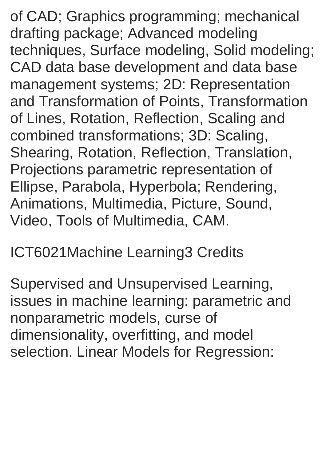of CAD; Graphics programming; mechanical drafting package; Advanced modeling techniques, Surface modeling, Solid modeling; CAD data base development and data base management systems; 2D: Representation and Transformation of Points, Transformation of Lines, Rotation, Reflection, Scaling and combined transformations; 3D: Scaling, Shearing, Rotation, Reflection, Translation, Projections parametric representation of Ellipse, Parabola, Hyperbola; Rendering, Animations, Multimedia, Picture, Sound, Video, Tools of Multimedia, CAM.

#### ICT6021Machine Learning3 Credits

Supervised and Unsupervised Learning, issues in machine learning: parametric and nonparametric models, curse of dimensionality, overfitting, and model selection. Linear Models for Regression: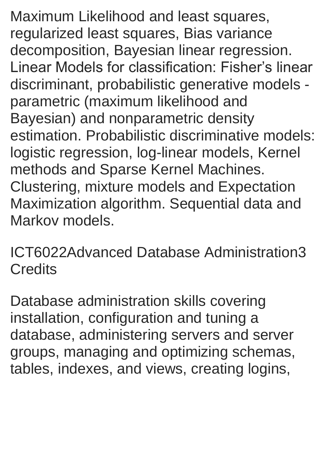Maximum Likelihood and least squares, regularized least squares, Bias variance decomposition, Bayesian linear regression. Linear Models for classification: Fisher's linear discriminant, probabilistic generative models parametric (maximum likelihood and Bayesian) and nonparametric density estimation. Probabilistic discriminative models: logistic regression, log-linear models, Kernel methods and Sparse Kernel Machines. Clustering, mixture models and Expectation Maximization algorithm. Sequential data and Markov models.

ICT6022Advanced Database Administration3 **Credits** 

Database administration skills covering installation, configuration and tuning a database, administering servers and server groups, managing and optimizing schemas, tables, indexes, and views, creating logins,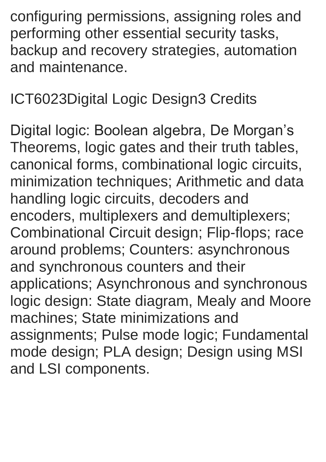configuring permissions, assigning roles and performing other essential security tasks, backup and recovery strategies, automation and maintenance.

ICT6023Digital Logic Design3 Credits

Digital logic: Boolean algebra, De Morgan's Theorems, logic gates and their truth tables, canonical forms, combinational logic circuits, minimization techniques; Arithmetic and data handling logic circuits, decoders and encoders, multiplexers and demultiplexers; Combinational Circuit design; Flip-flops; race around problems; Counters: asynchronous and synchronous counters and their applications; Asynchronous and synchronous logic design: State diagram, Mealy and Moore machines; State minimizations and assignments; Pulse mode logic; Fundamental mode design; PLA design; Design using MSI and LSI components.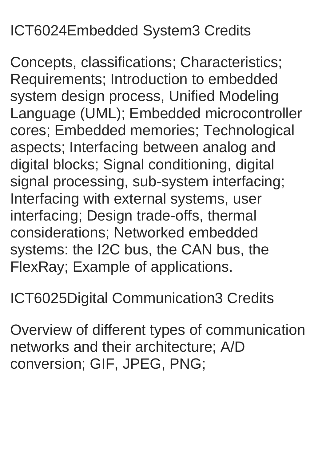### ICT6024Embedded System3 Credits

Concepts, classifications; Characteristics; Requirements; Introduction to embedded system design process, Unified Modeling Language (UML); Embedded microcontroller cores; Embedded memories; Technological aspects; Interfacing between analog and digital blocks; Signal conditioning, digital signal processing, sub-system interfacing; Interfacing with external systems, user interfacing; Design trade-offs, thermal considerations; Networked embedded systems: the I2C bus, the CAN bus, the FlexRay; Example of applications.

ICT6025Digital Communication3 Credits

Overview of different types of communication networks and their architecture; A/D conversion; GIF, JPEG, PNG;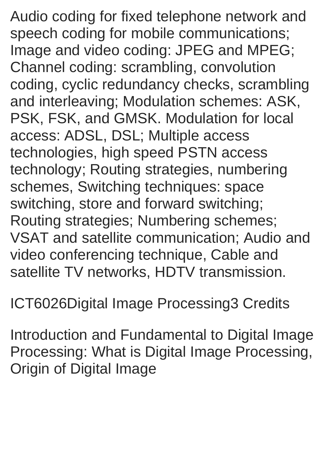Audio coding for fixed telephone network and speech coding for mobile communications; Image and video coding: JPEG and MPEG; Channel coding: scrambling, convolution coding, cyclic redundancy checks, scrambling and interleaving; Modulation schemes: ASK, PSK, FSK, and GMSK. Modulation for local access: ADSL, DSL; Multiple access technologies, high speed PSTN access technology; Routing strategies, numbering schemes, Switching techniques: space switching, store and forward switching; Routing strategies; Numbering schemes; VSAT and satellite communication; Audio and video conferencing technique, Cable and satellite TV networks, HDTV transmission.

ICT6026Digital Image Processing3 Credits

Introduction and Fundamental to Digital Image Processing: What is Digital Image Processing, Origin of Digital Image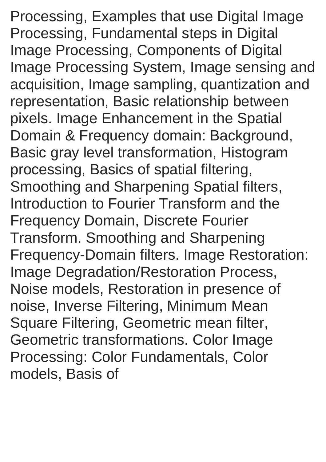Processing, Examples that use Digital Image Processing, Fundamental steps in Digital Image Processing, Components of Digital Image Processing System, Image sensing and acquisition, Image sampling, quantization and representation, Basic relationship between pixels. Image Enhancement in the Spatial Domain & Frequency domain: Background, Basic gray level transformation, Histogram processing, Basics of spatial filtering, Smoothing and Sharpening Spatial filters, Introduction to Fourier Transform and the Frequency Domain, Discrete Fourier Transform. Smoothing and Sharpening Frequency-Domain filters. Image Restoration: Image Degradation/Restoration Process, Noise models, Restoration in presence of noise, Inverse Filtering, Minimum Mean Square Filtering, Geometric mean filter, Geometric transformations. Color Image Processing: Color Fundamentals, Color models, Basis of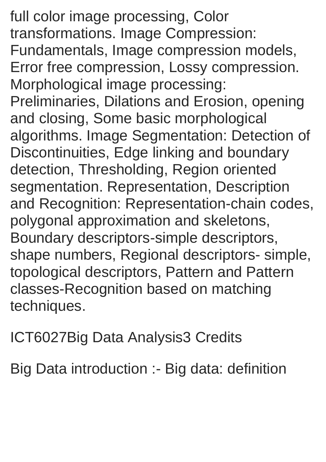full color image processing, Color transformations. Image Compression: Fundamentals, Image compression models, Error free compression, Lossy compression. Morphological image processing: Preliminaries, Dilations and Erosion, opening and closing, Some basic morphological algorithms. Image Segmentation: Detection of Discontinuities, Edge linking and boundary detection, Thresholding, Region oriented segmentation. Representation, Description and Recognition: Representation-chain codes, polygonal approximation and skeletons, Boundary descriptors-simple descriptors, shape numbers, Regional descriptors- simple, topological descriptors, Pattern and Pattern classes-Recognition based on matching techniques.

ICT6027Big Data Analysis3 Credits

Big Data introduction :- Big data: definition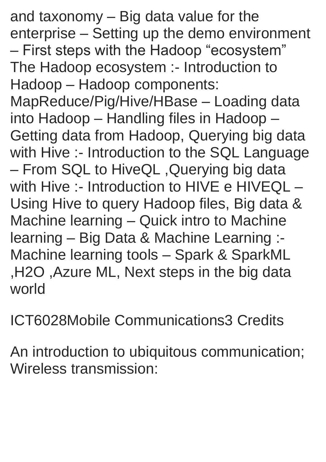and taxonomy – Big data value for the enterprise – Setting up the demo environment – First steps with the Hadoop "ecosystem" The Hadoop ecosystem :- Introduction to Hadoop – Hadoop components: MapReduce/Pig/Hive/HBase – Loading data

into Hadoop – Handling files in Hadoop – Getting data from Hadoop, Querying big data with Hive :- Introduction to the SQL Language – From SQL to HiveQL ,Querying big data with Hive :- Introduction to HIVE e HIVEQL -Using Hive to query Hadoop files, Big data & Machine learning – Quick intro to Machine learning – Big Data & Machine Learning :- Machine learning tools – Spark & SparkML ,H2O ,Azure ML, Next steps in the big data world

ICT6028Mobile Communications3 Credits

An introduction to ubiquitous communication; Wireless transmission: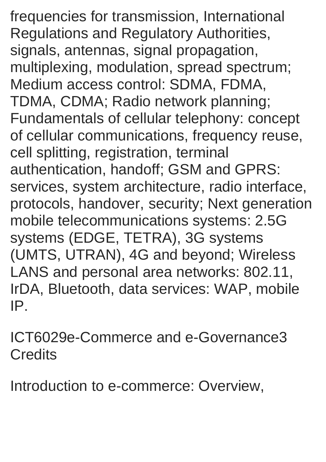frequencies for transmission, International Regulations and Regulatory Authorities, signals, antennas, signal propagation, multiplexing, modulation, spread spectrum; Medium access control: SDMA, FDMA, TDMA, CDMA; Radio network planning; Fundamentals of cellular telephony: concept of cellular communications, frequency reuse, cell splitting, registration, terminal authentication, handoff; GSM and GPRS: services, system architecture, radio interface, protocols, handover, security; Next generation mobile telecommunications systems: 2.5G systems (EDGE, TETRA), 3G systems (UMTS, UTRAN), 4G and beyond; Wireless LANS and personal area networks: 802.11, IrDA, Bluetooth, data services: WAP, mobile IP.

ICT6029e-Commerce and e-Governance3 **Credits** 

Introduction to e-commerce: Overview,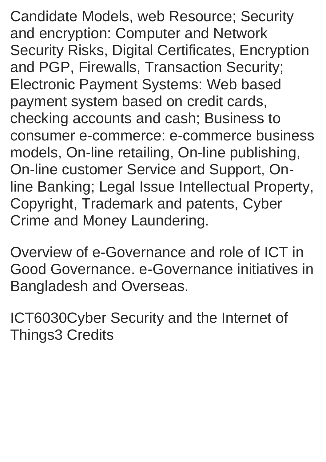Candidate Models, web Resource; Security and encryption: Computer and Network Security Risks, Digital Certificates, Encryption and PGP, Firewalls, Transaction Security; Electronic Payment Systems: Web based payment system based on credit cards, checking accounts and cash; Business to consumer e-commerce: e-commerce business models, On-line retailing, On-line publishing, On-line customer Service and Support, Online Banking; Legal Issue Intellectual Property, Copyright, Trademark and patents, Cyber Crime and Money Laundering.

Overview of e-Governance and role of ICT in Good Governance. e-Governance initiatives in Bangladesh and Overseas.

ICT6030Cyber Security and the Internet of Things3 Credits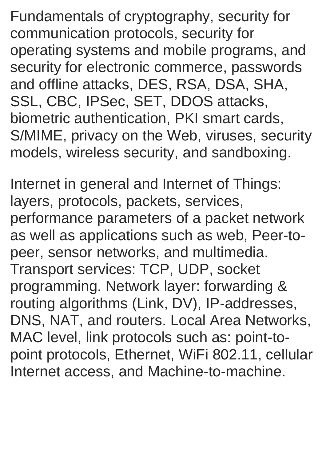Fundamentals of cryptography, security for communication protocols, security for operating systems and mobile programs, and security for electronic commerce, passwords and offline attacks, DES, RSA, DSA, SHA, SSL, CBC, IPSec, SET, DDOS attacks, biometric authentication, PKI smart cards, S/MIME, privacy on the Web, viruses, security models, wireless security, and sandboxing.

Internet in general and Internet of Things: layers, protocols, packets, services, performance parameters of a packet network as well as applications such as web, Peer-topeer, sensor networks, and multimedia. Transport services: TCP, UDP, socket programming. Network layer: forwarding & routing algorithms (Link, DV), IP-addresses, DNS, NAT, and routers. Local Area Networks, MAC level, link protocols such as: point-topoint protocols, Ethernet, WiFi 802.11, cellular Internet access, and Machine-to-machine.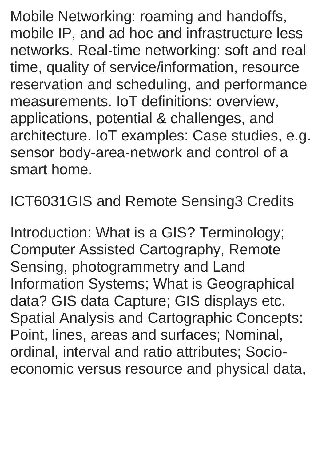Mobile Networking: roaming and handoffs, mobile IP, and ad hoc and infrastructure less networks. Real-time networking: soft and real time, quality of service/information, resource reservation and scheduling, and performance measurements. IoT definitions: overview, applications, potential & challenges, and architecture. IoT examples: Case studies, e.g. sensor body-area-network and control of a smart home.

ICT6031GIS and Remote Sensing3 Credits

Introduction: What is a GIS? Terminology; Computer Assisted Cartography, Remote Sensing, photogrammetry and Land Information Systems; What is Geographical data? GIS data Capture; GIS displays etc. Spatial Analysis and Cartographic Concepts: Point, lines, areas and surfaces; Nominal, ordinal, interval and ratio attributes; Socioeconomic versus resource and physical data,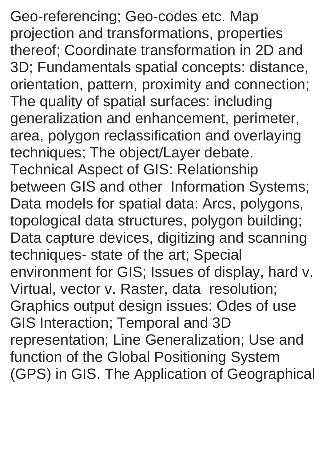Geo-referencing; Geo-codes etc. Map projection and transformations, properties thereof; Coordinate transformation in 2D and 3D; Fundamentals spatial concepts: distance, orientation, pattern, proximity and connection; The quality of spatial surfaces: including generalization and enhancement, perimeter, area, polygon reclassification and overlaying techniques; The object/Layer debate. Technical Aspect of GIS: Relationship between GIS and other Information Systems; Data models for spatial data: Arcs, polygons, topological data structures, polygon building; Data capture devices, digitizing and scanning techniques- state of the art; Special environment for GIS; Issues of display, hard v. Virtual, vector v. Raster, data resolution; Graphics output design issues: Odes of use GIS Interaction; Temporal and 3D representation; Line Generalization; Use and function of the Global Positioning System (GPS) in GIS. The Application of Geographical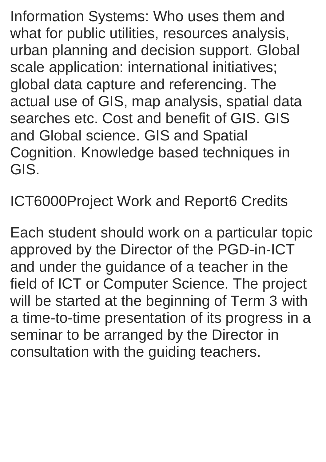Information Systems: Who uses them and what for public utilities, resources analysis, urban planning and decision support. Global scale application: international initiatives; global data capture and referencing. The actual use of GIS, map analysis, spatial data searches etc. Cost and benefit of GIS. GIS and Global science. GIS and Spatial Cognition. Knowledge based techniques in GIS.

ICT6000Project Work and Report6 Credits

Each student should work on a particular topic approved by the Director of the PGD-in-ICT and under the guidance of a teacher in the field of ICT or Computer Science. The project will be started at the beginning of Term 3 with a time-to-time presentation of its progress in a seminar to be arranged by the Director in consultation with the guiding teachers.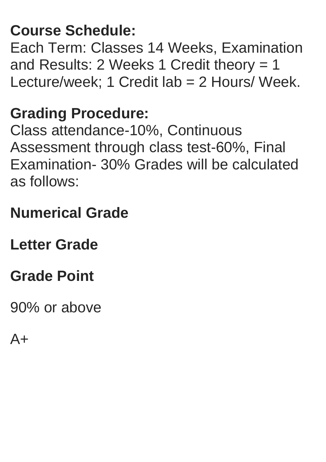### **Course Schedule:**

Each Term: Classes 14 Weeks, Examination and Results: 2 Weeks 1 Credit theory = 1 Lecture/week; 1 Credit lab = 2 Hours/ Week.

#### **Grading Procedure:**

Class attendance-10%, Continuous Assessment through class test-60%, Final Examination- 30% Grades will be calculated as follows:

### **Numerical Grade**

#### **Letter Grade**

### **Grade Point**

90% or above

 $A+$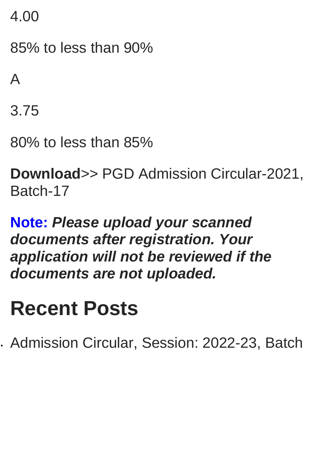4.00

85% to less than 90%

A

3.75

80% to less than 85%

**Download**>> PGD Admission Circular-2021, Batch-17

#### **Note:** *Please upload your scanned documents after registration. Your application will not be reviewed if the documents are not uploaded.*

# **Recent Posts**

Admission Circular, Session: 2022-23, Batch